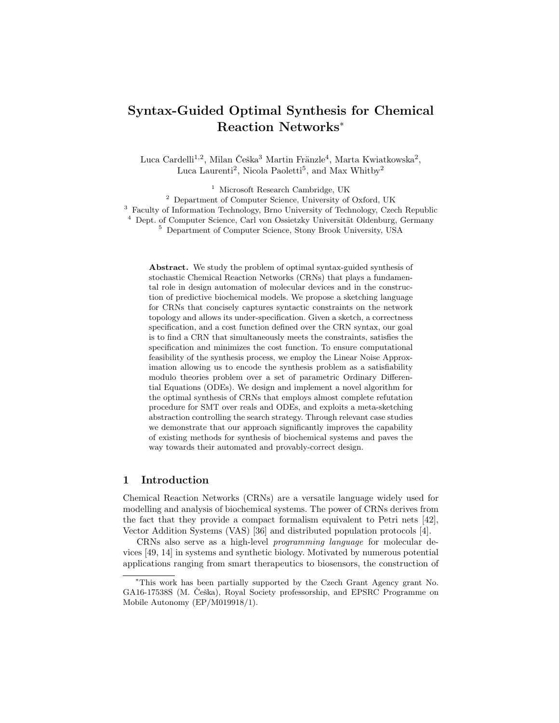# Syntax-Guided Optimal Synthesis for Chemical Reaction Networks<sup>\*</sup>

Luca Cardelli<sup>1,2</sup>, Milan Češka<sup>3</sup> Martin Fränzle<sup>4</sup>, Marta Kwiatkowska<sup>2</sup>, Luca Laurenti<sup>2</sup>, Nicola Paoletti<sup>5</sup>, and Max Whitby<sup>2</sup>

<sup>1</sup> Microsoft Research Cambridge, UK <sup>2</sup> Department of Computer Science, University of Oxford, UK <sup>3</sup> Faculty of Information Technology, Brno University of Technology, Czech Republic <sup>4</sup> Dept. of Computer Science, Carl von Ossietzky Universität Oldenburg, Germany <sup>5</sup> Department of Computer Science, Stony Brook University, USA

Abstract. We study the problem of optimal syntax-guided synthesis of stochastic Chemical Reaction Networks (CRNs) that plays a fundamental role in design automation of molecular devices and in the construction of predictive biochemical models. We propose a sketching language for CRNs that concisely captures syntactic constraints on the network topology and allows its under-specification. Given a sketch, a correctness specification, and a cost function defined over the CRN syntax, our goal is to find a CRN that simultaneously meets the constraints, satisfies the specification and minimizes the cost function. To ensure computational feasibility of the synthesis process, we employ the Linear Noise Approximation allowing us to encode the synthesis problem as a satisfiability modulo theories problem over a set of parametric Ordinary Differential Equations (ODEs). We design and implement a novel algorithm for the optimal synthesis of CRNs that employs almost complete refutation procedure for SMT over reals and ODEs, and exploits a meta-sketching abstraction controlling the search strategy. Through relevant case studies we demonstrate that our approach significantly improves the capability of existing methods for synthesis of biochemical systems and paves the way towards their automated and provably-correct design.

# 1 Introduction

Chemical Reaction Networks (CRNs) are a versatile language widely used for modelling and analysis of biochemical systems. The power of CRNs derives from the fact that they provide a compact formalism equivalent to Petri nets [42], Vector Addition Systems (VAS) [36] and distributed population protocols [4].

CRNs also serve as a high-level *programming language* for molecular devices [49, 14] in systems and synthetic biology. Motivated by numerous potential applications ranging from smart therapeutics to biosensors, the construction of

<sup>⇤</sup>This work has been partially supported by the Czech Grant Agency grant No. GA16-17538S (M. Češka), Royal Society professorship, and EPSRC Programme on Mobile Autonomy (EP/M019918/1).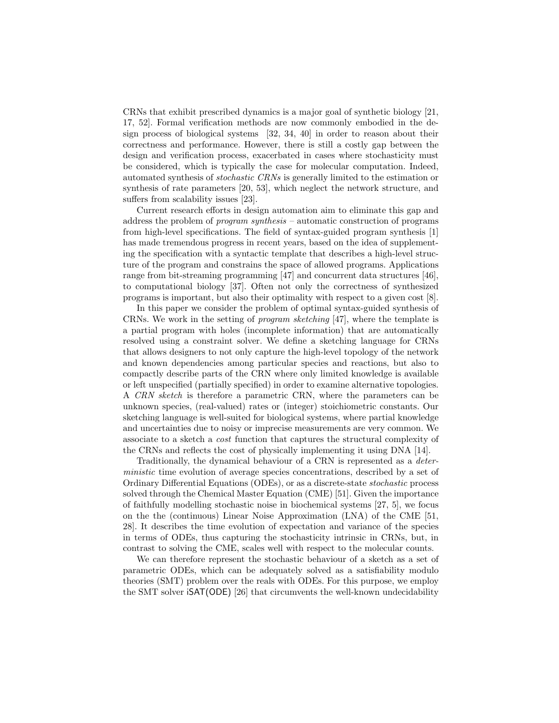CRNs that exhibit prescribed dynamics is a major goal of synthetic biology [21, 17, 52]. Formal verification methods are now commonly embodied in the design process of biological systems [32, 34, 40] in order to reason about their correctness and performance. However, there is still a costly gap between the design and verification process, exacerbated in cases where stochasticity must be considered, which is typically the case for molecular computation. Indeed, automated synthesis of *stochastic CRNs* is generally limited to the estimation or synthesis of rate parameters [20, 53], which neglect the network structure, and suffers from scalability issues [23].

Current research efforts in design automation aim to eliminate this gap and address the problem of *program synthesis* – automatic construction of programs from high-level specifications. The field of syntax-guided program synthesis [1] has made tremendous progress in recent years, based on the idea of supplementing the specification with a syntactic template that describes a high-level structure of the program and constrains the space of allowed programs. Applications range from bit-streaming programming [47] and concurrent data structures [46], to computational biology [37]. Often not only the correctness of synthesized programs is important, but also their optimality with respect to a given cost [8].

In this paper we consider the problem of optimal syntax-guided synthesis of CRNs. We work in the setting of *program sketching* [47], where the template is a partial program with holes (incomplete information) that are automatically resolved using a constraint solver. We define a sketching language for CRNs that allows designers to not only capture the high-level topology of the network and known dependencies among particular species and reactions, but also to compactly describe parts of the CRN where only limited knowledge is available or left unspecified (partially specified) in order to examine alternative topologies. A *CRN sketch* is therefore a parametric CRN, where the parameters can be unknown species, (real-valued) rates or (integer) stoichiometric constants. Our sketching language is well-suited for biological systems, where partial knowledge and uncertainties due to noisy or imprecise measurements are very common. We associate to a sketch a *cost* function that captures the structural complexity of the CRNs and reflects the cost of physically implementing it using DNA [14].

Traditionally, the dynamical behaviour of a CRN is represented as a *deterministic* time evolution of average species concentrations, described by a set of Ordinary Differential Equations (ODEs), or as a discrete-state *stochastic* process solved through the Chemical Master Equation (CME) [51]. Given the importance of faithfully modelling stochastic noise in biochemical systems [27, 5], we focus on the the (continuous) Linear Noise Approximation (LNA) of the CME [51, 28]. It describes the time evolution of expectation and variance of the species in terms of ODEs, thus capturing the stochasticity intrinsic in CRNs, but, in contrast to solving the CME, scales well with respect to the molecular counts.

We can therefore represent the stochastic behaviour of a sketch as a set of parametric ODEs, which can be adequately solved as a satisfiability modulo theories (SMT) problem over the reals with ODEs. For this purpose, we employ the SMT solver iSAT(ODE) [26] that circumvents the well-known undecidability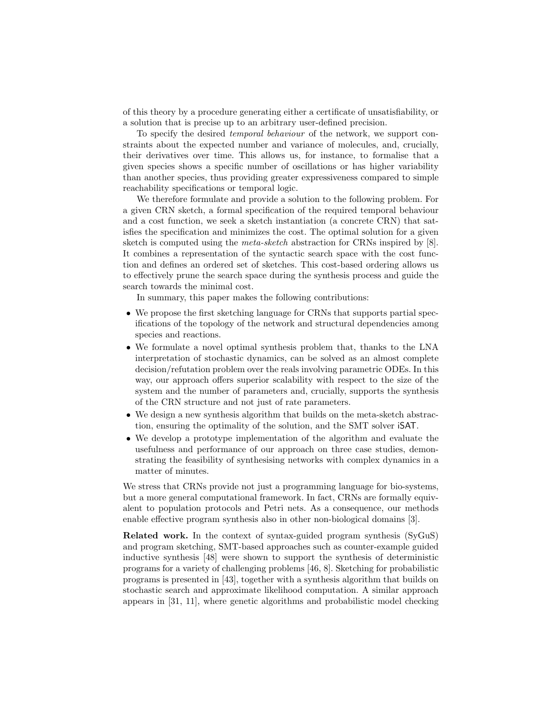of this theory by a procedure generating either a certificate of unsatisfiability, or a solution that is precise up to an arbitrary user-defined precision.

To specify the desired *temporal behaviour* of the network, we support constraints about the expected number and variance of molecules, and, crucially, their derivatives over time. This allows us, for instance, to formalise that a given species shows a specific number of oscillations or has higher variability than another species, thus providing greater expressiveness compared to simple reachability specifications or temporal logic.

We therefore formulate and provide a solution to the following problem. For a given CRN sketch, a formal specification of the required temporal behaviour and a cost function, we seek a sketch instantiation (a concrete CRN) that satisfies the specification and minimizes the cost. The optimal solution for a given sketch is computed using the *meta-sketch* abstraction for CRNs inspired by [8]. It combines a representation of the syntactic search space with the cost function and defines an ordered set of sketches. This cost-based ordering allows us to effectively prune the search space during the synthesis process and guide the search towards the minimal cost.

In summary, this paper makes the following contributions:

- We propose the first sketching language for CRNs that supports partial specifications of the topology of the network and structural dependencies among species and reactions.
- We formulate a novel optimal synthesis problem that, thanks to the LNA interpretation of stochastic dynamics, can be solved as an almost complete decision/refutation problem over the reals involving parametric ODEs. In this way, our approach offers superior scalability with respect to the size of the system and the number of parameters and, crucially, supports the synthesis of the CRN structure and not just of rate parameters.
- We design a new synthesis algorithm that builds on the meta-sketch abstraction, ensuring the optimality of the solution, and the SMT solver iSAT.
- We develop a prototype implementation of the algorithm and evaluate the usefulness and performance of our approach on three case studies, demonstrating the feasibility of synthesising networks with complex dynamics in a matter of minutes.

We stress that CRNs provide not just a programming language for bio-systems, but a more general computational framework. In fact, CRNs are formally equivalent to population protocols and Petri nets. As a consequence, our methods enable effective program synthesis also in other non-biological domains [3].

Related work. In the context of syntax-guided program synthesis (SyGuS) and program sketching, SMT-based approaches such as counter-example guided inductive synthesis [48] were shown to support the synthesis of deterministic programs for a variety of challenging problems [46, 8]. Sketching for probabilistic programs is presented in [43], together with a synthesis algorithm that builds on stochastic search and approximate likelihood computation. A similar approach appears in [31, 11], where genetic algorithms and probabilistic model checking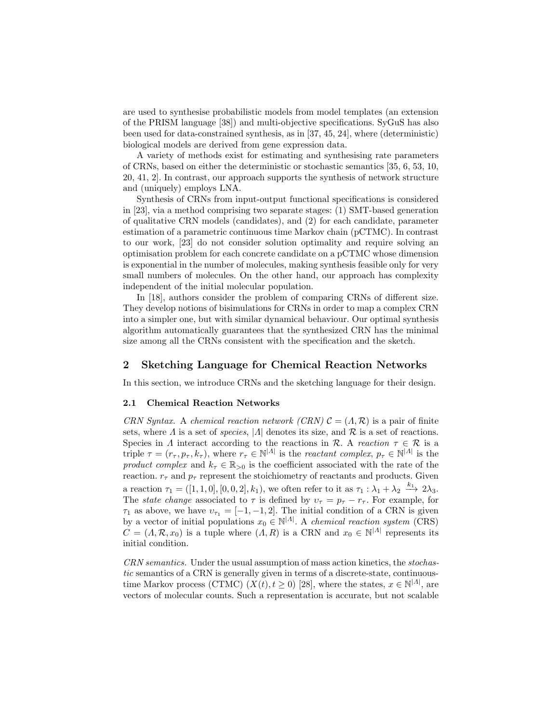are used to synthesise probabilistic models from model templates (an extension of the PRISM language [38]) and multi-objective specifications. SyGuS has also been used for data-constrained synthesis, as in [37, 45, 24], where (deterministic) biological models are derived from gene expression data.

A variety of methods exist for estimating and synthesising rate parameters of CRNs, based on either the deterministic or stochastic semantics [35, 6, 53, 10, 20, 41, 2]. In contrast, our approach supports the synthesis of network structure and (uniquely) employs LNA.

Synthesis of CRNs from input-output functional specifications is considered in [23], via a method comprising two separate stages: (1) SMT-based generation of qualitative CRN models (candidates), and (2) for each candidate, parameter estimation of a parametric continuous time Markov chain (pCTMC). In contrast to our work, [23] do not consider solution optimality and require solving an optimisation problem for each concrete candidate on a pCTMC whose dimension is exponential in the number of molecules, making synthesis feasible only for very small numbers of molecules. On the other hand, our approach has complexity independent of the initial molecular population.

In  $[18]$ , authors consider the problem of comparing CRNs of different size. They develop notions of bisimulations for CRNs in order to map a complex CRN into a simpler one, but with similar dynamical behaviour. Our optimal synthesis algorithm automatically guarantees that the synthesized CRN has the minimal size among all the CRNs consistent with the specification and the sketch.

# 2 Sketching Language for Chemical Reaction Networks

In this section, we introduce CRNs and the sketching language for their design.

## 2.1 Chemical Reaction Networks

*CRN Syntax.* A *chemical reaction network (CRN)*  $C = (A, \mathcal{R})$  is a pair of finite sets, where  $\Lambda$  is a set of *species*,  $|\Lambda|$  denotes its size, and  $\mathcal R$  is a set of reactions. Species in  $\Lambda$  interact according to the reactions in  $\mathcal{R}$ . A *reaction*  $\tau \in \mathcal{R}$  is a triple  $\tau = (r_{\tau}, p_{\tau}, k_{\tau})$ , where  $r_{\tau} \in \mathbb{N}^{|A|}$  is the *reactant complex*,  $p_{\tau} \in \mathbb{N}^{|A|}$  is the *product complex* and  $k_{\tau} \in \mathbb{R}_{>0}$  is the coefficient associated with the rate of the reaction.  $r_{\tau}$  and  $p_{\tau}$  represent the stoichiometry of reactants and products. Given a reaction  $\tau_1 = ([1, 1, 0], [0, 0, 2], k_1)$ , we often refer to it as  $\tau_1 : \lambda_1 + \lambda_2 \xrightarrow{k_1} 2\lambda_3$ . The *state change* associated to  $\tau$  is defined by  $v_{\tau} = p_{\tau} - r_{\tau}$ . For example, for  $\tau_1$  as above, we have  $v_{\tau_1} = [-1, -1, 2]$ . The initial condition of a CRN is given by a vector of initial populations  $x_0 \in \mathbb{N}^{|A|}$ . A *chemical reaction system* (CRS)  $C = (A, \mathcal{R}, x_0)$  is a tuple where  $(A, R)$  is a CRN and  $x_0 \in \mathbb{N}^{|A|}$  represents its initial condition.

*CRN semantics.* Under the usual assumption of mass action kinetics, the *stochastic* semantics of a CRN is generally given in terms of a discrete-state, continuoustime Markov process (CTMC)  $(X(t), t \ge 0)$  [28], where the states,  $x \in \mathbb{N}^{|A|}$ , are vectors of molecular counts. Such a representation is accurate, but not scalable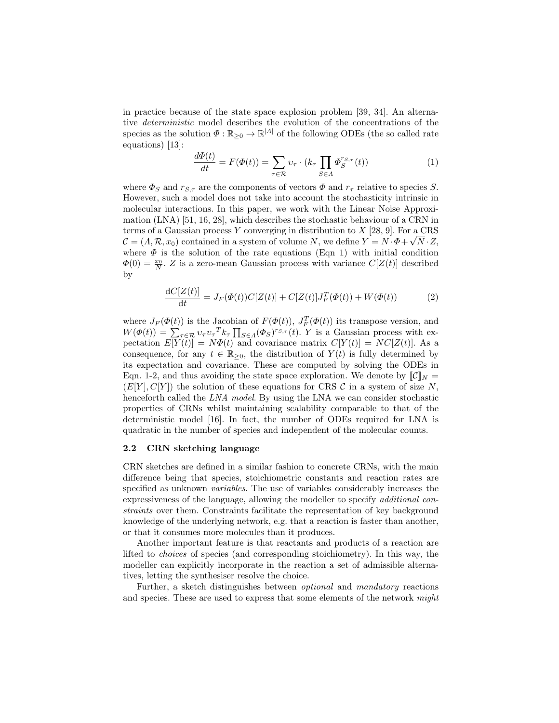in practice because of the state space explosion problem [39, 34]. An alternative *deterministic* model describes the evolution of the concentrations of the species as the solution  $\Phi : \mathbb{R}_{\geq 0} \to \mathbb{R}^{|A|}$  of the following ODEs (the so called rate equations) [13]:

$$
\frac{d\Phi(t)}{dt} = F(\Phi(t)) = \sum_{\tau \in \mathcal{R}} \upsilon_{\tau} \cdot (k_{\tau} \prod_{S \in \Lambda} \Phi_S^{r_{S,\tau}}(t)) \tag{1}
$$

where  $\Phi_S$  and  $r_{S,\tau}$  are the components of vectors  $\Phi$  and  $r_{\tau}$  relative to species *S*. However, such a model does not take into account the stochasticity intrinsic in molecular interactions. In this paper, we work with the Linear Noise Approximation (LNA) [51, 16, 28], which describes the stochastic behaviour of a CRN in terms of a Gaussian process *Y* converging in distribution to *X* [28, 9]. For a CRS  $\mathcal{C} = (A, \mathcal{R}, x_0)$  contained in a system of volume *N*, we define  $Y = N \cdot \Phi + \sqrt{N} \cdot Z$ , where  $\Phi$  is the solution of the rate equations (Eqn 1) with initial condition  $\Phi(0) = \frac{x_0}{N}$ . *Z* is a zero-mean Gaussian process with variance  $C[Z(t)]$  described by

$$
\frac{dC[Z(t)]}{dt} = J_F(\Phi(t))C[Z(t)] + C[Z(t)]J_F^T(\Phi(t)) + W(\Phi(t))
$$
\n(2)

where  $J_F(\Phi(t))$  is the Jacobian of  $F(\Phi(t))$ ,  $J_F^T(\Phi(t))$  its transpose version, and  $W(\Phi(t)) = \sum_{\tau \in \mathcal{R}} v_{\tau} v_{\tau}^T k_{\tau} \prod_{S \in \Lambda} (\Phi_S)^{r_{S,\tau}}(t)$ . *Y* is a Gaussian process with expectation  $E[Y(t)] = N\Phi(t)$  and covariance matrix  $C[Y(t)] = NC[Z(t)]$ . As a consequence, for any  $t \in \mathbb{R}_{\geq 0}$ , the distribution of  $Y(t)$  is fully determined by its expectation and covariance. These are computed by solving the ODEs in Eqn. 1-2, and thus avoiding the state space exploration. We denote by  $\llbracket \mathcal{C} \rrbracket_N =$  $(E[Y], C[Y])$  the solution of these equations for CRS  $C$  in a system of size N, henceforth called the *LNA model*. By using the LNA we can consider stochastic properties of CRNs whilst maintaining scalability comparable to that of the deterministic model [16]. In fact, the number of ODEs required for LNA is quadratic in the number of species and independent of the molecular counts.

#### 2.2 CRN sketching language

CRN sketches are defined in a similar fashion to concrete CRNs, with the main difference being that species, stoichiometric constants and reaction rates are specified as unknown *variables*. The use of variables considerably increases the expressiveness of the language, allowing the modeller to specify *additional constraints* over them. Constraints facilitate the representation of key background knowledge of the underlying network, e.g. that a reaction is faster than another, or that it consumes more molecules than it produces.

Another important feature is that reactants and products of a reaction are lifted to *choices* of species (and corresponding stoichiometry). In this way, the modeller can explicitly incorporate in the reaction a set of admissible alternatives, letting the synthesiser resolve the choice.

Further, a sketch distinguishes between *optional* and *mandatory* reactions and species. These are used to express that some elements of the network *might*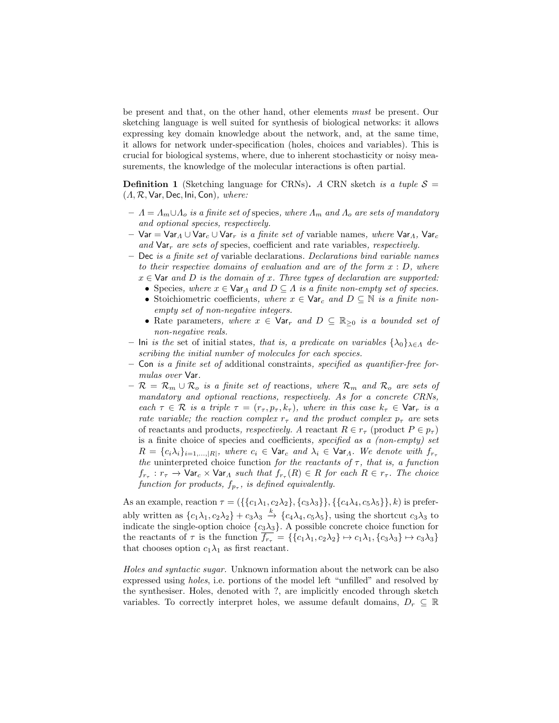be present and that, on the other hand, other elements *must* be present. Our sketching language is well suited for synthesis of biological networks: it allows expressing key domain knowledge about the network, and, at the same time, it allows for network under-specification (holes, choices and variables). This is crucial for biological systems, where, due to inherent stochasticity or noisy measurements, the knowledge of the molecular interactions is often partial.

**Definition 1** (Sketching language for CRNs). *A* CRN sketch *is a tuple*  $S =$ (⇤*, R,* Var*,* Dec*,* Ini*,* Con)*, where:*

- $A = \Lambda_m \cup \Lambda_o$  *is a finite set of species, where*  $\Lambda_m$  *and*  $\Lambda_o$  *are sets of mandatory and optional species, respectively.*
- $-$  Var = Var<sub>A</sub>  $\cup$  Var<sub>c</sub>  $\cup$  Var<sub>r</sub> *is a finite set of* variable names, where Var<sub>A</sub>, Var<sub>c</sub> and  $\forall$ ar<sub>r</sub> are sets of species, coefficient and rate variables, respectively.
- Dec *is a finite set of* variable declarations*. Declarations bind variable names to their respective domains of evaluation and are of the form x* : *D, where*  $x \in \mathsf{Var}$  *and D is the domain of x. Three types of declaration are supported:* 
	- Species, where  $x \in \text{Var}_A$  and  $D \subseteq A$  is a finite non-empty set of species.
	- Stoichiometric coefficients, where  $x \in \mathsf{Var}_c$  and  $D \subseteq \mathbb{N}$  is a finite non*empty set of non-negative integers.*
	- Rate parameters, where  $x \in \text{Var}_r$  and  $D \subseteq \mathbb{R}_{\geq 0}$  is a bounded set of *non-negative reals.*
- Ini *is the* set of initial states, *that is, a predicate on variables*  $\{\lambda_0\}_{\lambda \in \Lambda}$  *describing the initial number of molecules for each species.*
- Con *is a finite set of* additional constraints*, specified as quantifier-free formulas over* Var*.*
- $R = \mathcal{R}_m \cup \mathcal{R}_o$  *is a finite set of* reactions, where  $\mathcal{R}_m$  *and*  $\mathcal{R}_o$  *are sets of mandatory and optional reactions, respectively. As for a concrete CRNs, each*  $\tau \in \mathcal{R}$  *is a triple*  $\tau = (r_{\tau}, p_{\tau}, k_{\tau})$ *, where in this case*  $k_{\tau} \in \mathsf{Var}_r$  *is a rate variable; the reaction complex*  $r_{\tau}$  *and the product complex*  $p_{\tau}$  *are* sets of reactants and products, respectively. A reactant  $R \in r_{\tau}$  (product  $P \in p_{\tau}$ ) is a finite choice of species and coefficients, *specified as a (non-empty) set*  $R = \{c_i \lambda_i\}_{i=1,\dots,|\mathcal{R}|}$ , where  $c_i \in \text{Var}_c$  and  $\lambda_i \in \text{Var}_\Lambda$ . We denote with  $f_{r_\tau}$ *the* uninterpreted choice function *for the reactants of*  $\tau$ *, that is, a function*  $f_{r_{\tau}}: r_{\tau} \to \text{Var}_{c} \times \text{Var}_{A}$  such that  $f_{r_{\tau}}(R) \in R$  for each  $R \in r_{\tau}$ . The choice *function for products,*  $f_{p_{\tau}}$ *, is defined equivalently.*

As an example, reaction  $\tau = (\{\{c_1\lambda_1, c_2\lambda_2\}, \{c_3\lambda_3\}\}, \{\{c_4\lambda_4, c_5\lambda_5\}\}, k)$  is preferably written as  $\{c_1\lambda_1, c_2\lambda_2\} + c_3\lambda_3 \stackrel{k}{\rightarrow} \{c_4\lambda_4, c_5\lambda_5\}$ , using the shortcut  $c_3\lambda_3$  to indicate the single-option choice  $\{c_3\lambda_3\}$ . A possible concrete choice function for the reactants of  $\tau$  is the function  $\overline{f_{r_{\tau}}} = \{\{c_1\lambda_1, c_2\lambda_2\} \mapsto c_1\lambda_1, \{c_3\lambda_3\} \mapsto c_3\lambda_3\}$ that chooses option  $c_1\lambda_1$  as first reactant.

*Holes and syntactic sugar.* Unknown information about the network can be also expressed using *holes*, i.e. portions of the model left "unfilled" and resolved by the synthesiser. Holes, denoted with ?, are implicitly encoded through sketch variables. To correctly interpret holes, we assume default domains,  $D_r \subseteq \mathbb{R}$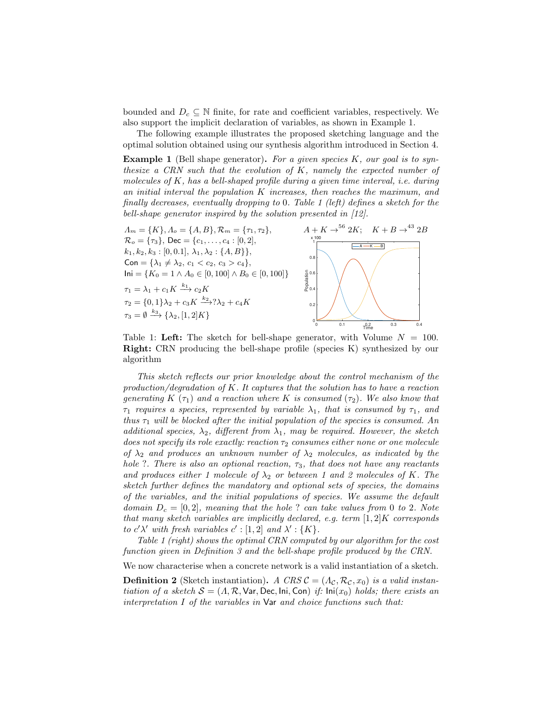bounded and  $D_c \subseteq \mathbb{N}$  finite, for rate and coefficient variables, respectively. We also support the implicit declaration of variables, as shown in Example 1.

The following example illustrates the proposed sketching language and the optimal solution obtained using our synthesis algorithm introduced in Section 4.

Example 1 (Bell shape generator). *For a given species K, our goal is to synthesize a CRN such that the evolution of K, namely the expected number of molecules of K, has a bell-shaped profile during a given time interval, i.e. during an initial interval the population K increases, then reaches the maximum, and finally decreases, eventually dropping to* 0*. Table 1 (left) defines a sketch for the bell-shape generator inspired by the solution presented in [12].*



Table 1: Left: The sketch for bell-shape generator, with Volume  $N = 100$ . Right: CRN producing the bell-shape profile (species K) synthesized by our algorithm

*This sketch reflects our prior knowledge about the control mechanism of the production/degradation of K. It captures that the solution has to have a reaction generating*  $K(\tau_1)$  *and a reaction where*  $K$  *is consumed*  $(\tau_2)$ *. We also know that*  $\tau_1$  requires a species, represented by variable  $\lambda_1$ , that is consumed by  $\tau_1$ , and *thus*  $\tau_1$  *will be blocked after the initial population of the species is consumed. An additional species,*  $\lambda_2$ *, different from*  $\lambda_1$ *, may be required. However, the sketch does not specify its role exactly: reaction*  $\tau_2$  *consumes either none or one molecule of*  $\lambda_2$  *and produces an unknown number of*  $\lambda_2$  *molecules, as indicated by the hole* ?. There is also an optional reaction,  $\tau_3$ , that does not have any reactants and produces either 1 molecule of  $\lambda_2$  or between 1 and 2 molecules of K. The *sketch further defines the mandatory and optional sets of species, the domains of the variables, and the initial populations of species. We assume the default domain D<sup>c</sup>* = [0*,* 2]*, meaning that the hole* ? *can take values from* 0 *to* 2*. Note that many sketch variables are implicitly declared, e.g. term* [1*,* 2]*K corresponds to*  $c' \lambda'$  *with fresh variables*  $c' : [1, 2]$  *and*  $\lambda' : \{K\}$ *.* 

*Table 1 (right) shows the optimal CRN computed by our algorithm for the cost function given in Definition 3 and the bell-shape profile produced by the CRN.*

We now characterise when a concrete network is a valid instantiation of a sketch.

**Definition 2** (Sketch instantiation). *A CRS*  $\mathcal{C} = (\Lambda_{\mathcal{C}}, \mathcal{R}_{\mathcal{C}}, x_0)$  *is a valid instantiation of a sketch*  $S = (A, R, \text{Var}, \text{Dec}, \text{Ini}, \text{Con})$  *if:*  $\text{Ini}(x_0)$  *holds; there exists an interpretation I of the variables in* Var *and choice functions such that:*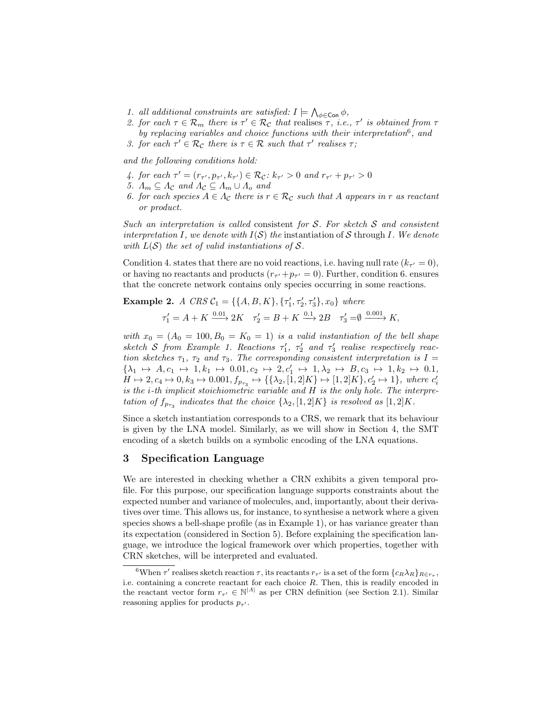- 1. all additional constraints are satisfied:  $I \models \bigwedge_{\phi \in \mathsf{Con}} \phi$ ,
- 2. *for each*  $\tau \in \mathcal{R}_m$  *there is*  $\tau' \in \mathcal{R}_c$  *that* realises  $\tau$ , *i.e.*,  $\tau'$  *is obtained from*  $\tau$ *by replacing variables and choice functions with their interpretation*6*, and*
- *3. for each*  $\tau' \in \mathcal{R}_{\mathcal{C}}$  *there is*  $\tau \in \mathcal{R}$  *such that*  $\tau'$  *realises*  $\tau$ ;

*and the following conditions hold:*

- *4. for each*  $\tau' = (r_{\tau'}, p_{\tau'}, k_{\tau'}) \in \mathcal{R}_{\mathcal{C}}$ :  $k_{\tau'} > 0$  and  $r_{\tau'} + p_{\tau'} > 0$
- *5.*  $\Lambda_m \subseteq \Lambda_c$  and  $\Lambda_c \subseteq \Lambda_m \cup \Lambda_o$  and
- *6. for each species*  $A \in \Lambda_c$  *there is*  $r \in \mathcal{R}_c$  *such that A appears in r as reactant or product.*

*Such an interpretation is called* consistent *for S. For sketch S and consistent interpretation*  $I$ *, we denote with*  $I(S)$  *the* instantiation of  $S$  through  $I$ *. We denote with*  $L(S)$  *the set of valid instantiations of*  $S$ *.* 

Condition 4. states that there are no void reactions, i.e. having null rate  $(k_{\tau'} = 0)$ , or having no reactants and products  $(r_{\tau'}+p_{\tau'}=0)$ . Further, condition 6. ensures that the concrete network contains only species occurring in some reactions.

**Example 2.** *A CRS* 
$$
C_1 = \{\{A, B, K\}, \{\tau'_1, \tau'_2, \tau'_3\}, x_0\}
$$
 where  

$$
\tau'_1 = A + K \xrightarrow{0.01} 2K \quad \tau'_2 = B + K \xrightarrow{0.1} 2B \quad \tau'_3 = \emptyset \xrightarrow{0.001} K,
$$

*with*  $x_0 = (A_0 = 100, B_0 = K_0 = 1)$  *is a valid instantiation of the bell shape*  $s$ ketch *S* from Example 1. Reactions  $\tau_1$ ,  $\tau_2$  and  $\tau_3$  realise respectively reac*tion sketches*  $\tau_1$ ,  $\tau_2$  *and*  $\tau_3$ *. The corresponding consistent interpretation is*  $I =$  $\{\lambda_1 \mapsto A, c_1 \mapsto 1, k_1 \mapsto 0.01, c_2 \mapsto 2, c'_1 \mapsto 1, \lambda_2 \mapsto B, c_3 \mapsto 1, k_2 \mapsto 0.1,$  $H \mapsto 2, c_4 \mapsto 0, k_3 \mapsto 0.001, f_{p_{\tau_3}} \mapsto {\{\{\lambda_2, [1,2]K\} \mapsto [1,2]K\}, c'_2 \mapsto 1\}}$ *, where*  $c'_i$ *is the i-th implicit stoichiometric variable and H is the only hole. The interpretation of*  $f_{p_{\tau2}}$  *indicates that the choice*  $\{\lambda_2, [1, 2]K\}$  *is resolved as*  $[1, 2]K$ *.* 

Since a sketch instantiation corresponds to a CRS, we remark that its behaviour is given by the LNA model. Similarly, as we will show in Section 4, the SMT encoding of a sketch builds on a symbolic encoding of the LNA equations.

# 3 Specification Language

We are interested in checking whether a CRN exhibits a given temporal profile. For this purpose, our specification language supports constraints about the expected number and variance of molecules, and, importantly, about their derivatives over time. This allows us, for instance, to synthesise a network where a given species shows a bell-shape profile (as in Example 1), or has variance greater than its expectation (considered in Section 5). Before explaining the specification language, we introduce the logical framework over which properties, together with CRN sketches, will be interpreted and evaluated.

 $\sqrt[6]{\text{When }\tau'}$  realises sketch reaction  $\tau$ , its reactants  $r_{\tau'}$  is a set of the form  $\{c_R\lambda_R\}_{R\in\tau_{\tau}}$ , i.e. containing a concrete reactant for each choice *R*. Then, this is readily encoded in the reactant vector form  $r_{\tau'} \in \mathbb{N}^{|A|}$  as per CRN definition (see Section 2.1). Similar reasoning applies for products  $p_{\tau'}$ .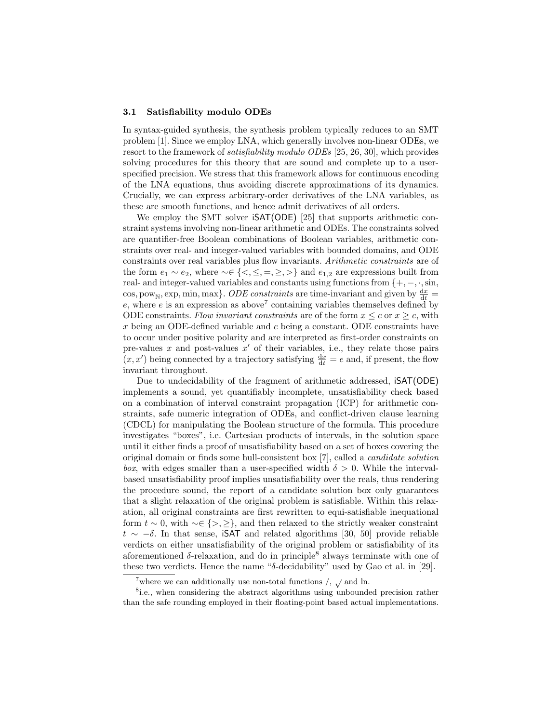#### 3.1 Satisfiability modulo ODEs

In syntax-guided synthesis, the synthesis problem typically reduces to an SMT problem [1]. Since we employ LNA, which generally involves non-linear ODEs, we resort to the framework of *satisfiability modulo ODEs* [25, 26, 30], which provides solving procedures for this theory that are sound and complete up to a userspecified precision. We stress that this framework allows for continuous encoding of the LNA equations, thus avoiding discrete approximations of its dynamics. Crucially, we can express arbitrary-order derivatives of the LNA variables, as these are smooth functions, and hence admit derivatives of all orders.

We employ the SMT solver  $\mathsf{ISAT}(\mathsf{ODE})$  [25] that supports arithmetic constraint systems involving non-linear arithmetic and ODEs. The constraints solved are quantifier-free Boolean combinations of Boolean variables, arithmetic constraints over real- and integer-valued variables with bounded domains, and ODE constraints over real variables plus flow invariants. *Arithmetic constraints* are of the form  $e_1 \sim e_2$ , where  $\sim \in \{ \leq, \leq, =, \geq, \geq \}$  and  $e_{1,2}$  are expressions built from real- and integer-valued variables and constants using functions from  $\{+,-,\cdot,\sin,$ cos, pow<sub>N</sub>, exp, min, max<sup>}</sup>. *ODE constraints* are time-invariant and given by  $\frac{dx}{dt}$  =  $e$ , where  $e$  is an expression as above<sup>7</sup> containing variables themselves defined by ODE constraints. *Flow invariant constraints* are of the form  $x \leq c$  or  $x \geq c$ , with *x* being an ODE-defined variable and *c* being a constant. ODE constraints have to occur under positive polarity and are interpreted as first-order constraints on pre-values  $x$  and post-values  $x'$  of their variables, i.e., they relate those pairs  $(x, x')$  being connected by a trajectory satisfying  $\frac{dx}{dt} = e$  and, if present, the flow invariant throughout.

Due to undecidability of the fragment of arithmetic addressed, iSAT(ODE) implements a sound, yet quantifiably incomplete, unsatisfiability check based on a combination of interval constraint propagation (ICP) for arithmetic constraints, safe numeric integration of ODEs, and conflict-driven clause learning (CDCL) for manipulating the Boolean structure of the formula. This procedure investigates "boxes", i.e. Cartesian products of intervals, in the solution space until it either finds a proof of unsatisfiability based on a set of boxes covering the original domain or finds some hull-consistent box [7], called a *candidate solution box*, with edges smaller than a user-specified width  $\delta > 0$ . While the intervalbased unsatisfiability proof implies unsatisfiability over the reals, thus rendering the procedure sound, the report of a candidate solution box only guarantees that a slight relaxation of the original problem is satisfiable. Within this relaxation, all original constraints are first rewritten to equi-satisfiable inequational form  $t \sim 0$ , with  $\sim \in \{>, \geq\}$ , and then relaxed to the strictly weaker constraint  $t \sim -\delta$ . In that sense, iSAT and related algorithms [30, 50] provide reliable verdicts on either unsatisfiability of the original problem or satisfiability of its aforementioned  $\delta$ -relaxation, and do in principle<sup>8</sup> always terminate with one of these two verdicts. Hence the name " $\delta$ -decidability" used by Gao et al. in [29].

 $^7 \text{where we can additionally use non-total functions /,  $\surd$  and  $\ln$ .$ 

<sup>&</sup>lt;sup>8</sup>i.e., when considering the abstract algorithms using unbounded precision rather than the safe rounding employed in their floating-point based actual implementations.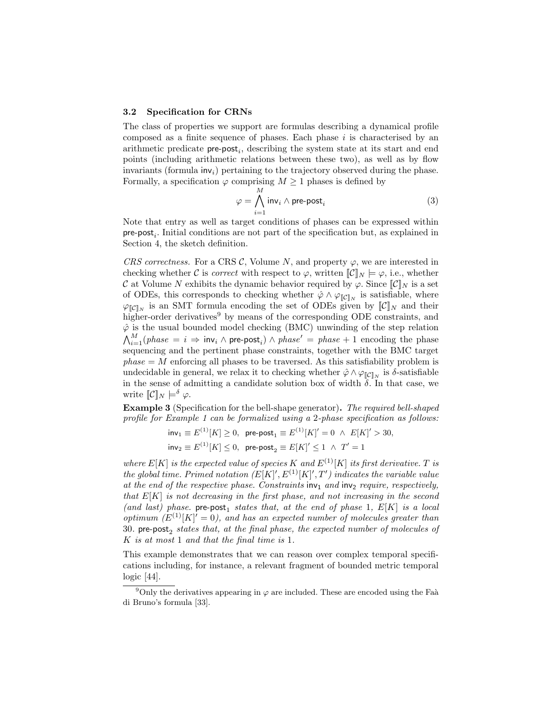#### 3.2 Specification for CRNs

The class of properties we support are formulas describing a dynamical profile composed as a finite sequence of phases. Each phase *i* is characterised by an arithmetic predicate pre-post*i*, describing the system state at its start and end points (including arithmetic relations between these two), as well as by flow invariants (formula inv*i*) pertaining to the trajectory observed during the phase. Formally, a specification  $\varphi$  comprising  $M \geq 1$  phases is defined by

$$
\varphi = \bigwedge_{i=1}^{M} \text{inv}_{i} \wedge \text{pre-post}_{i} \tag{3}
$$

Note that entry as well as target conditions of phases can be expressed within pre-post*i*. Initial conditions are not part of the specification but, as explained in Section 4, the sketch definition.

*CRS correctness.* For a CRS  $\mathcal{C}$ , Volume *N*, and property  $\varphi$ , we are interested in checking whether *C* is *correct* with respect to  $\varphi$ , written  $\llbracket \mathcal{C} \rrbracket_N \models \varphi$ , i.e., whether *C* at Volume *N* exhibits the dynamic behavior required by  $\varphi$ . Since  $\llbracket \mathcal{C} \rrbracket_N$  is a set of ODEs, this corresponds to checking whether  $\hat{\varphi} \wedge \varphi_{\llbracket \mathcal{C} \rrbracket_N}$  is satisfiable, where  $\varphi_{\llbracket \mathcal{C} \rrbracket_N}$  is an SMT formula encoding the set of ODEs given by  $\llbracket \mathcal{C} \rrbracket_N$  and their higher-order derivatives<sup>9</sup> by means of the corresponding ODE constraints, and  $\hat{\varphi}$  is the usual bounded model checking (BMC) unwinding of the step relation  $\bigwedge_{i=1}^{M} (phase = i \Rightarrow inv_i \wedge pre\text{-post}_i) \wedge phase' = phase + 1$  encoding the phase sequencing and the pertinent phase constraints, together with the BMC target  $phase = M$  enforcing all phases to be traversed. As this satisfiability problem is undecidable in general, we relax it to checking whether  $\hat{\varphi} \wedge \varphi_{\llbracket \mathcal{C} \rrbracket_N}$  is  $\delta$ -satisfiable in the sense of admitting a candidate solution box of width  $\delta$ . In that case, we write  $\mathbb{C} \cdot \mathbb{C} \cdot \mathbb{C} \mapsto \infty$ .

Example 3 (Specification for the bell-shape generator). *The required bell-shaped profile for Example 1 can be formalized using a* 2*-phase specification as follows:*

$$
\text{inv}_1 \equiv E^{(1)}[K] \ge 0, \text{ pre-post}_1 \equiv E^{(1)}[K]' = 0 \land E[K]' > 30,
$$
  

$$
\text{inv}_2 \equiv E^{(1)}[K] \le 0, \text{ pre-post}_2 \equiv E[K]' \le 1 \land T' = 1
$$

*where*  $E[K]$  *is the expected value of species*  $K$  *and*  $E^{(1)}[K]$  *its first derivative.*  $T$  *is the global time. Primed notation*  $(E[K]', E^{(1)}[K]', T')$  *indicates the variable value* at the end of the respective phase. Constraints  $inv_1$  and  $inv_2$  require, respectively, *that E*[*K*] *is not decreasing in the first phase, and not increasing in the second*  $(and last) phase.$  pre-post<sub>1</sub> *states that, at the end of phase* 1,  $E[K]$  *is a local optimum*  $(E^{(1)}[K] = 0)$ , and has an expected number of molecules greater than 30. pre-post, *states that, at the final phase, the expected number of molecules of K is at most* 1 *and that the final time is* 1*.*

This example demonstrates that we can reason over complex temporal specifications including, for instance, a relevant fragment of bounded metric temporal logic [44].

<sup>&</sup>lt;sup>9</sup>Only the derivatives appearing in  $\varphi$  are included. These are encoded using the Faà di Bruno's formula [33].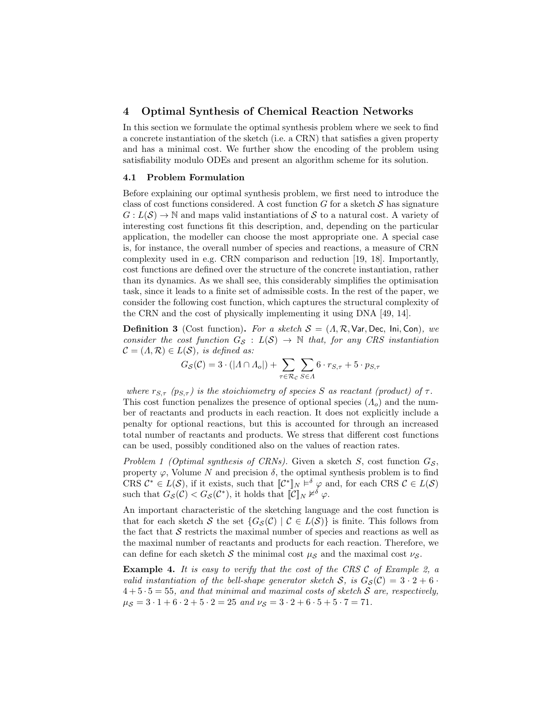## 4 Optimal Synthesis of Chemical Reaction Networks

In this section we formulate the optimal synthesis problem where we seek to find a concrete instantiation of the sketch (i.e. a CRN) that satisfies a given property and has a minimal cost. We further show the encoding of the problem using satisfiability modulo ODEs and present an algorithm scheme for its solution.

#### 4.1 Problem Formulation

Before explaining our optimal synthesis problem, we first need to introduce the class of cost functions considered. A cost function  $G$  for a sketch  $S$  has signature  $G: L(S) \to \mathbb{N}$  and maps valid instantiations of *S* to a natural cost. A variety of interesting cost functions fit this description, and, depending on the particular application, the modeller can choose the most appropriate one. A special case is, for instance, the overall number of species and reactions, a measure of CRN complexity used in e.g. CRN comparison and reduction [19, 18]. Importantly, cost functions are defined over the structure of the concrete instantiation, rather than its dynamics. As we shall see, this considerably simplifies the optimisation task, since it leads to a finite set of admissible costs. In the rest of the paper, we consider the following cost function, which captures the structural complexity of the CRN and the cost of physically implementing it using DNA [49, 14].

**Definition 3** (Cost function). For a sketch  $S = (A, R, \text{Var}, \text{Dec}, \text{Ini}, \text{Con})$ , we *consider the cost function*  $G_S$  :  $L(S) \rightarrow \mathbb{N}$  *that, for any CRS instantiation*  $\mathcal{C} = (\Lambda, \mathcal{R}) \in L(\mathcal{S})$ *, is defined as:* 

$$
G_{\mathcal{S}}(\mathcal{C}) = 3 \cdot (|A \cap A_o|) + \sum_{\tau \in \mathcal{R}_{\mathcal{C}}} \sum_{S \in A} 6 \cdot r_{S,\tau} + 5 \cdot p_{S,\tau}
$$

*where*  $r_{S,\tau}$  ( $p_{S,\tau}$ ) is the stoichiometry of species *S* as reactant (product) of  $\tau$ . This cost function penalizes the presence of optional species  $(A<sub>o</sub>)$  and the number of reactants and products in each reaction. It does not explicitly include a penalty for optional reactions, but this is accounted for through an increased total number of reactants and products. We stress that different cost functions can be used, possibly conditioned also on the values of reaction rates.

*Problem 1 (Optimal synthesis of CRNs)*. Given a sketch *S*, cost function  $G_S$ , property  $\varphi$ , Volume N and precision  $\delta$ , the optimal synthesis problem is to find CRS  $\mathcal{C}^* \in L(\mathcal{S})$ , if it exists, such that  $\mathcal{C}^* \mathcal{C} \times \mathcal{C}$  and, for each CRS  $\mathcal{C} \in L(\mathcal{S})$ such that  $G_{\mathcal{S}}(\mathcal{C}) < G_{\mathcal{S}}(\mathcal{C}^*)$ , it holds that  $\mathcal{C}||_N \nvDash^{\delta} \varphi$ .

An important characteristic of the sketching language and the cost function is that for each sketch *S* the set  $\{G_{\mathcal{S}}(\mathcal{C}) \mid \mathcal{C} \in L(\mathcal{S})\}$  is finite. This follows from the fact that *S* restricts the maximal number of species and reactions as well as the maximal number of reactants and products for each reaction. Therefore, we can define for each sketch  $\mathcal S$  the minimal cost  $\mu_S$  and the maximal cost  $\nu_S$ .

Example 4. *It is easy to verify that the cost of the CRS C of Example 2, a valid instantiation of the bell-shape generator sketch*  $S$ *, is*  $G_S(\mathcal{C})=3 \cdot 2+6 \cdot$  $4+5 \cdot 5 = 55$ , and that minimal and maximal costs of sketch S are, respectively,  $\mu_{\mathcal{S}} = 3 \cdot 1 + 6 \cdot 2 + 5 \cdot 2 = 25$  and  $\nu_{\mathcal{S}} = 3 \cdot 2 + 6 \cdot 5 + 5 \cdot 7 = 71$ .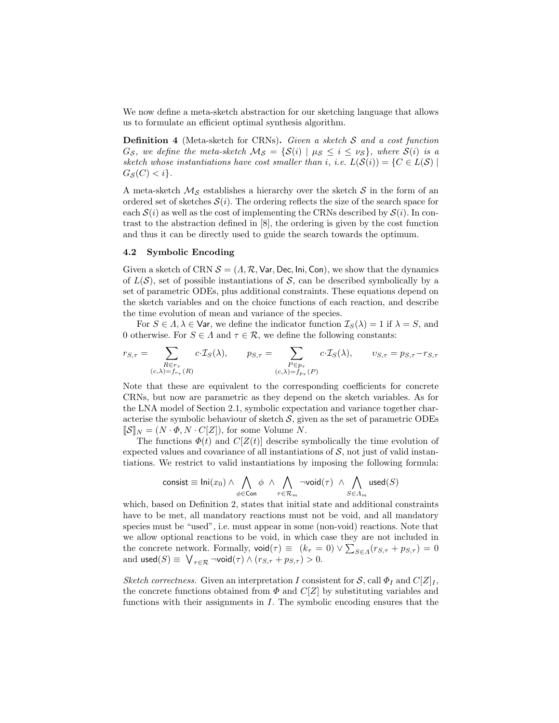We now define a meta-sketch abstraction for our sketching language that allows us to formulate an efficient optimal synthesis algorithm.

Definition 4 (Meta-sketch for CRNs). *Given a sketch S and a cost function G*<sub>*S*</sub>, we define the meta-sketch  $M_S = \{S(i) | \mu_S \le i \le \nu_S\}$ , where  $S(i)$  is a *sketch whose instantiations have cost smaller than <i>i*, *i.e.*  $L(S(i)) = \{C \in L(S) |$  $G_S(C) < i$ .

A meta-sketch  $\mathcal{M}_{\mathcal{S}}$  establishes a hierarchy over the sketch  $\mathcal{S}$  in the form of an ordered set of sketches  $S(i)$ . The ordering reflects the size of the search space for each  $S(i)$  as well as the cost of implementing the CRNs described by  $S(i)$ . In contrast to the abstraction defined in [8], the ordering is given by the cost function and thus it can be directly used to guide the search towards the optimum.

## 4.2 Symbolic Encoding

Given a sketch of CRN  $S = (A, \mathcal{R}, \mathsf{Var}, \mathsf{Dec}, \mathsf{Ini}, \mathsf{Con})$ , we show that the dynamics of  $L(S)$ , set of possible instantiations of S, can be described symbolically by a set of parametric ODEs, plus additional constraints. These equations depend on the sketch variables and on the choice functions of each reaction, and describe the time evolution of mean and variance of the species.

For  $S \in \Lambda, \lambda \in \mathsf{Var}$ , we define the indicator function  $\mathcal{I}_S(\lambda) = 1$  if  $\lambda = S$ , and 0 otherwise. For  $S \in \Lambda$  and  $\tau \in \mathcal{R}$ , we define the following constants:

$$
r_{S,\tau} = \sum_{\substack{R \in r_{\tau} \\ (c,\lambda)=f_{r_{\tau}}(R)}} c \cdot \mathcal{I}_S(\lambda), \qquad p_{S,\tau} = \sum_{\substack{P \in p_{\tau} \\ (c,\lambda)=f_{p_{\tau}}(P)}} c \cdot \mathcal{I}_S(\lambda), \qquad v_{S,\tau} = p_{S,\tau} - r_{S,\tau}
$$

Note that these are equivalent to the corresponding coefficients for concrete CRNs, but now are parametric as they depend on the sketch variables. As for the LNA model of Section 2.1, symbolic expectation and variance together characterise the symbolic behaviour of sketch  $S$ , given as the set of parametric ODEs  $[\![\mathcal{S}]\!]_N = (N \cdot \Phi, N \cdot C[\![Z]\!])$ , for some Volume *N*.

The functions  $\Phi(t)$  and  $C[Z(t)]$  describe symbolically the time evolution of expected values and covariance of all instantiations of  $S$ , not just of valid instantiations. We restrict to valid instantiations by imposing the following formula:

$$
\mathop{\mathrm{consist}}\limits_{\equiv}\mathop{\mathrm{Ini}}\limits_{(x_0)}\wedge \bigwedge_{\phi\in\mathop{\mathrm{Con}}\limits} \phi \;\wedge\; \bigwedge_{\tau\in\mathcal{R}_m}\neg\mathop{\mathrm{void}}\limits(\tau) \;\wedge\; \bigwedge_{S\in\varLambda_m}\mathop{\mathrm{used}}\limits(S)
$$

which, based on Definition 2, states that initial state and additional constraints have to be met, all mandatory reactions must not be void, and all mandatory species must be "used", i.e. must appear in some (non-void) reactions. Note that we allow optional reactions to be void, in which case they are not included in the concrete network. Formally,  $\text{void}(\tau) \equiv (k_{\tau} = 0) \vee \sum_{S \in A} (r_{S,\tau} + p_{S,\tau}) = 0$ and  $\text{used}(S) \equiv \bigvee_{\tau \in \mathcal{R}} \neg \text{void}(\tau) \land (r_{S,\tau} + p_{S,\tau}) > 0.$ 

*Sketch correctness.* Given an interpretation *I* consistent for *S*, call  $\Phi_I$  and  $C[Z]_I$ , the concrete functions obtained from  $\Phi$  and  $C[Z]$  by substituting variables and functions with their assignments in *I*. The symbolic encoding ensures that the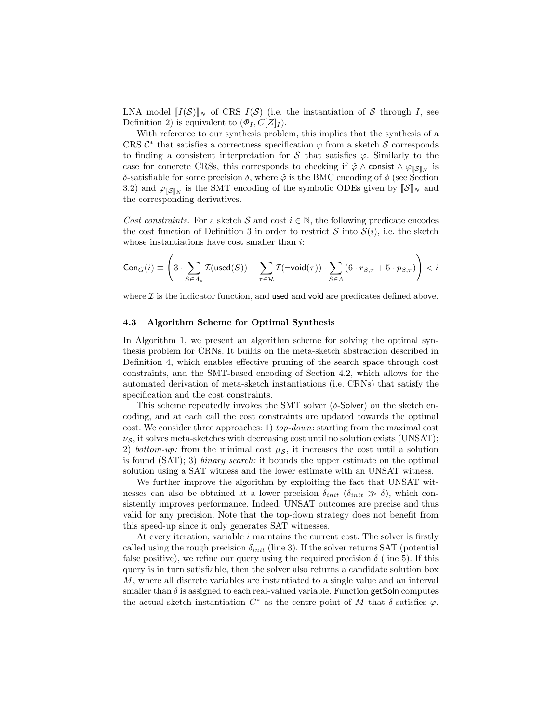LNA model  $[[I(\mathcal{S})]]_N$  of CRS  $I(\mathcal{S})$  (i.e. the instantiation of  $\mathcal S$  through *I*, see Definition 2) is equivalent to  $(\Phi_I, C[Z]_I)$ .

With reference to our synthesis problem, this implies that the synthesis of a CRS  $\mathcal{C}^*$  that satisfies a correctness specification  $\varphi$  from a sketch  $\mathcal S$  corresponds to finding a consistent interpretation for  $S$  that satisfies  $\varphi$ . Similarly to the case for concrete CRSs, this corresponds to checking if  $\hat{\varphi} \wedge \text{consist} \wedge \varphi_{\llbracket S\rrbracket_N}$  is  $\delta$ -satisfiable for some precision  $\delta$ , where  $\hat{\varphi}$  is the BMC encoding of  $\phi$  (see Section 3.2) and  $\varphi_{\llbracket \mathcal{S} \rrbracket_N}$  is the SMT encoding of the symbolic ODEs given by  $\llbracket \mathcal{S} \rrbracket_N$  and the corresponding derivatives.

*Cost constraints.* For a sketch  $S$  and cost  $i \in \mathbb{N}$ , the following predicate encodes the cost function of Definition 3 in order to restrict  $S$  into  $S(i)$ , i.e. the sketch whose instantiations have cost smaller than *i*:

$$
\mathsf{Con}_G(i) \equiv \left(3 \cdot \sum_{S \in \varLambda_o} \mathcal{I}(\mathsf{used}(S)) + \sum_{\tau \in \mathcal{R}} \mathcal{I}(\neg \mathsf{void}(\tau)) \cdot \sum_{S \in \varLambda} \left(6 \cdot r_{S, \tau} + 5 \cdot p_{S, \tau}\right)\right) < i
$$

where  $\mathcal I$  is the indicator function, and used and void are predicates defined above.

## 4.3 Algorithm Scheme for Optimal Synthesis

In Algorithm 1, we present an algorithm scheme for solving the optimal synthesis problem for CRNs. It builds on the meta-sketch abstraction described in Definition 4, which enables effective pruning of the search space through cost constraints, and the SMT-based encoding of Section 4.2, which allows for the automated derivation of meta-sketch instantiations (i.e. CRNs) that satisfy the specification and the cost constraints.

This scheme repeatedly invokes the SMT solver  $(\delta$ -Solver) on the sketch encoding, and at each call the cost constraints are updated towards the optimal cost. We consider three approaches: 1) *top-down*: starting from the maximal cost  $\nu_S$ , it solves meta-sketches with decreasing cost until no solution exists (UNSAT); 2) *bottom-up:* from the minimal cost  $\mu_{\mathcal{S}}$ , it increases the cost until a solution is found (SAT); 3) *binary search:* it bounds the upper estimate on the optimal solution using a SAT witness and the lower estimate with an UNSAT witness.

We further improve the algorithm by exploiting the fact that UNSAT witnesses can also be obtained at a lower precision  $\delta_{init}$  ( $\delta_{init} \gg \delta$ ), which consistently improves performance. Indeed, UNSAT outcomes are precise and thus valid for any precision. Note that the top-down strategy does not benefit from this speed-up since it only generates SAT witnesses.

At every iteration, variable *i* maintains the current cost. The solver is firstly called using the rough precision  $\delta_{init}$  (line 3). If the solver returns SAT (potential false positive), we refine our query using the required precision  $\delta$  (line 5). If this query is in turn satisfiable, then the solver also returns a candidate solution box *M*, where all discrete variables are instantiated to a single value and an interval smaller than  $\delta$  is assigned to each real-valued variable. Function getSoln computes the actual sketch instantiation  $C^*$  as the centre point of M that  $\delta$ -satisfies  $\varphi$ .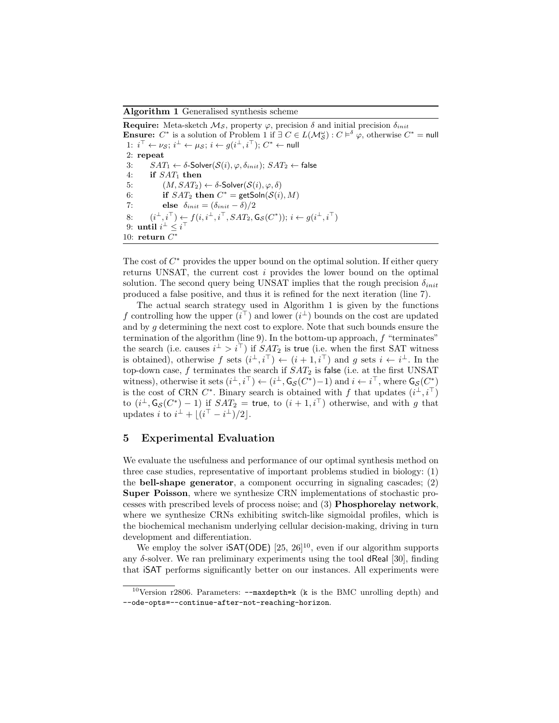Algorithm 1 Generalised synthesis scheme

**Require:** Meta-sketch  $M<sub>S</sub>$ , property  $\varphi$ , precision  $\delta$  and initial precision  $\delta_{init}$ **Ensure:**  $C^*$  is a solution of Problem 1 if  $\exists C \in L(\mathcal{M}_{\mathcal{S}}^{\omega}) : C \models^{\delta} \varphi$ , otherwise  $C^* = \text{null}$ 1:  $i^{\perp} \leftarrow \nu s$ ;  $i^{\perp} \leftarrow \mu s$ ;  $i \leftarrow g(i^{\perp}, i^{\perp})$ ;  $C^* \leftarrow \text{null}$ 2: repeat 3:  $SAT_1 \leftarrow \delta\text{-Solver}(\mathcal{S}(i), \varphi, \delta_{init}); SAT_2 \leftarrow false$ <br>4: if  $SAT_1$  then if *SAT*<sub>1</sub> then 5:  $(M, SAT_2) \leftarrow \delta$ -Solver( $S(i), \varphi, \delta$ )<br>6: **if**  $SAT_2$  **then**  $C^* = \text{getSoln}(S(i))$ 6: **if**  $SAT_2$  then  $C^* = \text{getSoln}(S(i), M)$ <br>7: **else**  $\delta_{init} = (\delta_{init} - \delta)/2$ else  $\delta_{init} = (\delta_{init} - \delta)/2$ 8:  $(i^{\perp}, i^{\perp}) \leftarrow f(i, i^{\perp}, i^{\perp}, SAT_2, \mathsf{G}_{\mathcal{S}}(C^*)); i \leftarrow g(i^{\perp}, i^{\perp})$ 9: **until**  $i^{\perp} \leq i^{\perp}$ 10: return  $C^*$ 

The cost of  $C^*$  provides the upper bound on the optimal solution. If either query returns UNSAT, the current cost *i* provides the lower bound on the optimal solution. The second query being UNSAT implies that the rough precision  $\delta_{init}$ produced a false positive, and thus it is refined for the next iteration (line 7).

The actual search strategy used in Algorithm 1 is given by the functions f controlling how the upper  $(i^{\perp})$  and lower  $(i^{\perp})$  bounds on the cost are updated and by *g* determining the next cost to explore. Note that such bounds ensure the termination of the algorithm (line 9). In the bottom-up approach, *f* "terminates" the search (i.e. causes  $i^{\perp} > i^{\perp}$ ) if  $SAT_2$  is true (i.e. when the first SAT witness is obtained), otherwise  $f$  sets  $(i^{\perp}, i^{\perp}) \leftarrow (i+1, i^{\perp})$  and  $g$  sets  $i \leftarrow i^{\perp}$ . In the top-down case, *f* terminates the search if *SAT*<sup>2</sup> is false (i.e. at the first UNSAT witness), otherwise it sets  $(i^{\perp}, i^{\perp}) \leftarrow (i^{\perp}, \mathsf{G}_{\mathcal{S}}(C^*)-1)$  and  $i \leftarrow i^{\perp}$ , where  $\mathsf{G}_{\mathcal{S}}(C^*)$ is the cost of CRN  $C^*$ . Binary search is obtained with f that updates  $(i^{\perp}, i^{\perp})$ to  $(i^{\perp}, \mathsf{G}_{\mathcal{S}}(C^*)-1)$  if  $SAT_2 =$  true, to  $(i+1, i^{\perp})$  otherwise, and with *g* that updates *i* to  $i^{\perp} + \lfloor (i^{+} - i^{\perp})/2 \rfloor$ .

## 5 Experimental Evaluation

We evaluate the usefulness and performance of our optimal synthesis method on three case studies, representative of important problems studied in biology: (1) the bell-shape generator, a component occurring in signaling cascades; (2) Super Poisson, where we synthesize CRN implementations of stochastic processes with prescribed levels of process noise; and (3) Phosphorelay network, where we synthesize CRNs exhibiting switch-like sigmoidal profiles, which is the biochemical mechanism underlying cellular decision-making, driving in turn development and differentiation.

We employ the solver  $\mathsf{iSAT}(\mathsf{ODE})$  [25, 26]<sup>10</sup>, even if our algorithm supports any  $\delta$ -solver. We ran preliminary experiments using the tool dReal [30], finding that iSAT performs significantly better on our instances. All experiments were

<sup>&</sup>lt;sup>10</sup>Version r2806. Parameters:  $-\text{maxdepth} = k$  (k is the BMC unrolling depth) and --ode-opts=--continue-after-not-reaching-horizon.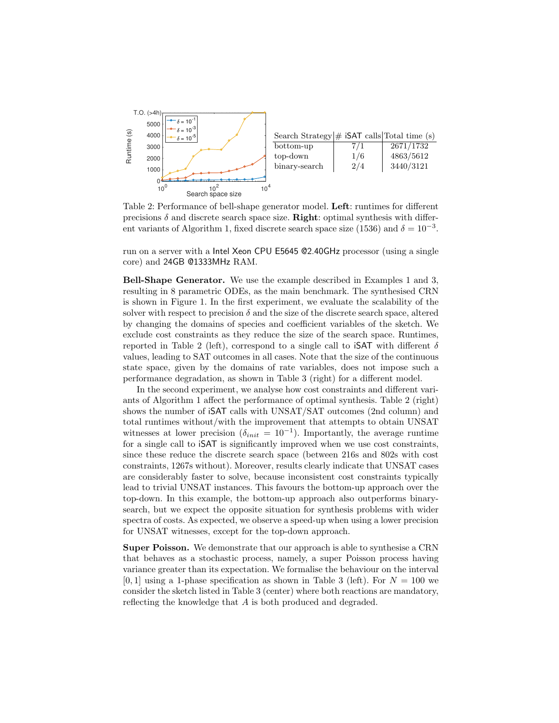

Table 2: Performance of bell-shape generator model. Left: runtimes for different precisions  $\delta$  and discrete search space size. **Right:** optimal synthesis with different variants of Algorithm 1, fixed discrete search space size (1536) and  $\delta = 10^{-3}$ .

run on a server with a Intel Xeon CPU E5645 @2.40GHz processor (using a single core) and 24GB @1333MHz RAM.

Bell-Shape Generator. We use the example described in Examples 1 and 3, resulting in 8 parametric ODEs, as the main benchmark. The synthesised CRN is shown in Figure 1. In the first experiment, we evaluate the scalability of the solver with respect to precision  $\delta$  and the size of the discrete search space, altered by changing the domains of species and coefficient variables of the sketch. We exclude cost constraints as they reduce the size of the search space. Runtimes, reported in Table 2 (left), correspond to a single call to **iSAT** with different  $\delta$ values, leading to SAT outcomes in all cases. Note that the size of the continuous state space, given by the domains of rate variables, does not impose such a performance degradation, as shown in Table 3 (right) for a different model.

In the second experiment, we analyse how cost constraints and different variants of Algorithm 1 affect the performance of optimal synthesis. Table  $2$  (right) shows the number of iSAT calls with UNSAT/SAT outcomes (2nd column) and total runtimes without/with the improvement that attempts to obtain UNSAT witnesses at lower precision ( $\delta_{init} = 10^{-1}$ ). Importantly, the average runtime for a single call to iSAT is significantly improved when we use cost constraints, since these reduce the discrete search space (between 216s and 802s with cost constraints, 1267s without). Moreover, results clearly indicate that UNSAT cases are considerably faster to solve, because inconsistent cost constraints typically lead to trivial UNSAT instances. This favours the bottom-up approach over the top-down. In this example, the bottom-up approach also outperforms binarysearch, but we expect the opposite situation for synthesis problems with wider spectra of costs. As expected, we observe a speed-up when using a lower precision for UNSAT witnesses, except for the top-down approach.

Super Poisson. We demonstrate that our approach is able to synthesise a CRN that behaves as a stochastic process, namely, a super Poisson process having variance greater than its expectation. We formalise the behaviour on the interval  $[0,1]$  using a 1-phase specification as shown in Table 3 (left). For  $N = 100$  we consider the sketch listed in Table 3 (center) where both reactions are mandatory, reflecting the knowledge that *A* is both produced and degraded.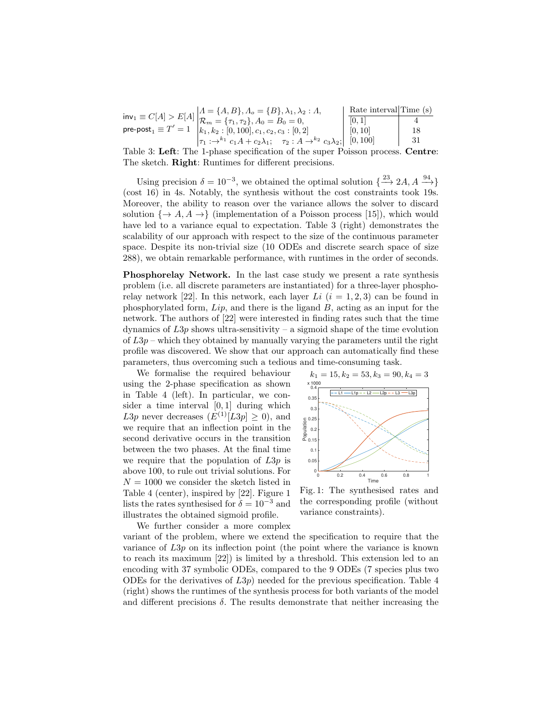$inv_1 \equiv C[A] > E[A]$  $\mathsf{pre\text{-}post}_1 \equiv T'=1$  $A = \{A, B\}, A_o = \{B\}, \lambda_1, \lambda_2 : A_o$  $\mathcal{R}_m = {\tau_1, \tau_2}, A_0 = B_0 = 0,$  $k_1, k_2: [0, 100], c_1, c_2, c_3: [0, 2]$  $\tau_1 : \rightarrow^{k_1} c_1 A + c_2 \lambda_1; \quad \tau_2 : A \rightarrow^{k_2} c_3 \lambda_2;$ Rate interval Time (s)  $[0, 1]$  4 [0*,* 10] 18 [0*,* 100] 31

Table 3: Left: The 1-phase specification of the super Poisson process. Centre: The sketch. Right: Runtimes for different precisions.

Using precision  $\delta = 10^{-3}$ , we obtained the optimal solution  $\{\frac{23}{\longrightarrow} 2A, A, \frac{94}{\longrightarrow}\}$ (cost 16) in 4s. Notably, the synthesis without the cost constraints took 19s. Moreover, the ability to reason over the variance allows the solver to discard solution  $\{\rightarrow A, A \rightarrow \}$  (implementation of a Poisson process [15]), which would have led to a variance equal to expectation. Table 3 (right) demonstrates the scalability of our approach with respect to the size of the continuous parameter space. Despite its non-trivial size (10 ODEs and discrete search space of size 288), we obtain remarkable performance, with runtimes in the order of seconds.

Phosphorelay Network. In the last case study we present a rate synthesis problem (i.e. all discrete parameters are instantiated) for a three-layer phosphorelay network [22]. In this network, each layer *Li*  $(i = 1, 2, 3)$  can be found in phosphorylated form, *Lip*, and there is the ligand *B*, acting as an input for the network. The authors of [22] were interested in finding rates such that the time dynamics of  $L3p$  shows ultra-sensitivity – a sigmoid shape of the time evolution of *L*3*p* – which they obtained by manually varying the parameters until the right profile was discovered. We show that our approach can automatically find these parameters, thus overcoming such a tedious and time-consuming task.

We formalise the required behaviour using the 2-phase specification as shown in Table 4 (left). In particular, we consider a time interval [0*,* 1] during which *L*3*p* never decreases  $(E^{(1)}|L3p] > 0$ , and we require that an inflection point in the second derivative occurs in the transition between the two phases. At the final time we require that the population of *L*3*p* is above 100, to rule out trivial solutions. For  $N = 1000$  we consider the sketch listed in Table 4 (center), inspired by [22]. Figure 1 lists the rates synthesised for  $\delta = 10^{-3}$  and illustrates the obtained sigmoid profile. We further consider a more complex



Fig. 1: The synthesised rates and the corresponding profile (without variance constraints).

variant of the problem, where we extend the specification to require that the variance of *L*3*p* on its inflection point (the point where the variance is known to reach its maximum [22]) is limited by a threshold. This extension led to an encoding with 37 symbolic ODEs, compared to the 9 ODEs (7 species plus two ODEs for the derivatives of *L*3*p*) needed for the previous specification. Table 4 (right) shows the runtimes of the synthesis process for both variants of the model and different precisions  $\delta$ . The results demonstrate that neither increasing the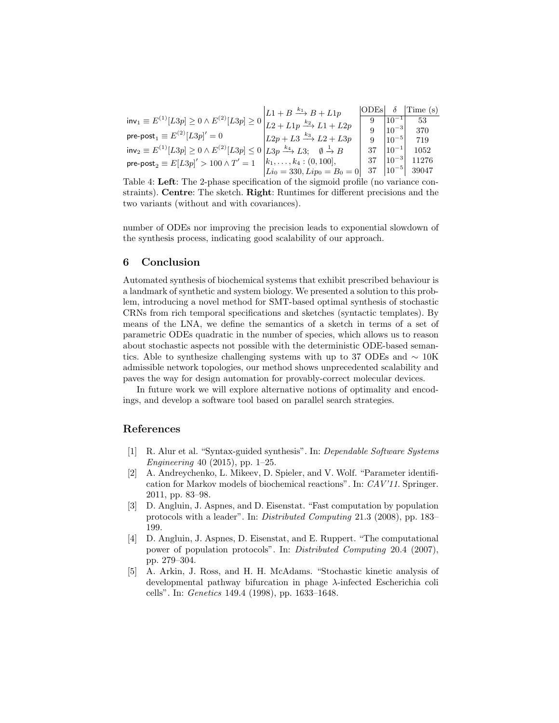|                                                                                                                                | $LL1 + B \xrightarrow{k_1} B + L1p$   | $\overline{\text{ODEs}}$ |             | Time (s)          |
|--------------------------------------------------------------------------------------------------------------------------------|---------------------------------------|--------------------------|-------------|-------------------|
| $inv_1 \equiv E^{(1)}[L3p] \geq 0 \wedge E^{(2)}[L3p] \geq 0$                                                                  | $L2 + L1p \xrightarrow{k_2} L1 + L2p$ |                          | $ 10^{-1} $ | 53                |
| $\mathsf{pre\text{-}post}_{1} \equiv E^{(2)}[L3p]' = 0$                                                                        |                                       |                          | $ 10^{-3} $ | 370               |
|                                                                                                                                | $L2p + L3 \xrightarrow{k_3} L2 + L3p$ |                          | $ 10^{-5} $ | 719               |
| $inv_2 \equiv E^{(1)}[L3p] \ge 0 \wedge E^{(2)}[L3p] \le 0 \left  L3p \xrightarrow{k_4} L3; \quad \emptyset \xrightarrow{1} B$ |                                       | 37                       | $ 10^{-1} $ | 1052              |
| pre-post <sub>2</sub> $\equiv E[L3p]'>100 \wedge T'=1$                                                                         | $[k_1,\ldots,k_4:(0,100],$            | 37                       | $ 10^{-3} $ | 11276             |
|                                                                                                                                | $Li_0 = 330, Lip_0 = B_0 = 0$         | 37                       |             | $ 10^{-5} $ 39047 |

Table 4: Left: The 2-phase specification of the sigmoid profile (no variance constraints). Centre: The sketch. Right: Runtimes for different precisions and the two variants (without and with covariances).

number of ODEs nor improving the precision leads to exponential slowdown of the synthesis process, indicating good scalability of our approach.

# 6 Conclusion

Automated synthesis of biochemical systems that exhibit prescribed behaviour is a landmark of synthetic and system biology. We presented a solution to this problem, introducing a novel method for SMT-based optimal synthesis of stochastic CRNs from rich temporal specifications and sketches (syntactic templates). By means of the LNA, we define the semantics of a sketch in terms of a set of parametric ODEs quadratic in the number of species, which allows us to reason about stochastic aspects not possible with the deterministic ODE-based semantics. Able to synthesize challenging systems with up to 37 ODEs and  $\sim 10$ K admissible network topologies, our method shows unprecedented scalability and paves the way for design automation for provably-correct molecular devices.

In future work we will explore alternative notions of optimality and encodings, and develop a software tool based on parallel search strategies.

# References

- [1] R. Alur et al. "Syntax-guided synthesis". In: *Dependable Software Systems Engineering* 40 (2015), pp. 1–25.
- [2] A. Andreychenko, L. Mikeev, D. Spieler, and V. Wolf. "Parameter identification for Markov models of biochemical reactions". In: *CAV'11*. Springer. 2011, pp. 83–98.
- [3] D. Angluin, J. Aspnes, and D. Eisenstat. "Fast computation by population protocols with a leader". In: *Distributed Computing* 21.3 (2008), pp. 183– 199.
- [4] D. Angluin, J. Aspnes, D. Eisenstat, and E. Ruppert. "The computational power of population protocols". In: *Distributed Computing* 20.4 (2007), pp. 279–304.
- [5] A. Arkin, J. Ross, and H. H. McAdams. "Stochastic kinetic analysis of developmental pathway bifurcation in phage  $\lambda$ -infected Escherichia coli cells". In: *Genetics* 149.4 (1998), pp. 1633–1648.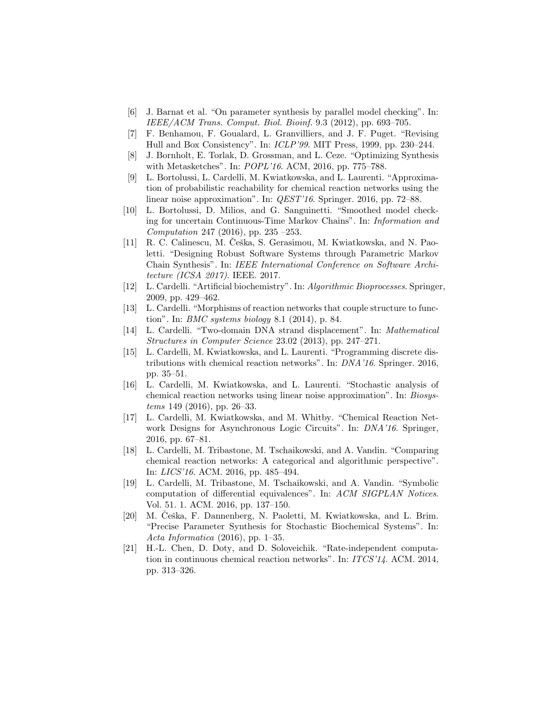- [6] J. Barnat et al. "On parameter synthesis by parallel model checking". In: *IEEE/ACM Trans. Comput. Biol. Bioinf.* 9.3 (2012), pp. 693–705.
- [7] F. Benhamou, F. Goualard, L. Granvilliers, and J. F. Puget. "Revising Hull and Box Consistency". In: *ICLP'99*. MIT Press, 1999, pp. 230–244.
- [8] J. Bornholt, E. Torlak, D. Grossman, and L. Ceze. "Optimizing Synthesis with Metasketches". In: *POPL'16*. ACM, 2016, pp. 775–788.
- [9] L. Bortolussi, L. Cardelli, M. Kwiatkowska, and L. Laurenti. "Approximation of probabilistic reachability for chemical reaction networks using the linear noise approximation". In: *QEST'16*. Springer. 2016, pp. 72–88.
- [10] L. Bortolussi, D. Milios, and G. Sanguinetti. "Smoothed model checking for uncertain Continuous-Time Markov Chains". In: *Information and Computation* 247 (2016), pp. 235 –253.
- [11] R. C. Calinescu, M. Ceška, S. Gerasimou, M. Kwiatkowska, and N. Paoletti. "Designing Robust Software Systems through Parametric Markov Chain Synthesis". In: *IEEE International Conference on Software Architecture (ICSA 2017)*. IEEE. 2017.
- [12] L. Cardelli. "Artificial biochemistry". In: *Algorithmic Bioprocesses*. Springer, 2009, pp. 429–462.
- [13] L. Cardelli. "Morphisms of reaction networks that couple structure to function". In: *BMC systems biology* 8.1 (2014), p. 84.
- [14] L. Cardelli. "Two-domain DNA strand displacement". In: *Mathematical Structures in Computer Science* 23.02 (2013), pp. 247–271.
- [15] L. Cardelli, M. Kwiatkowska, and L. Laurenti. "Programming discrete distributions with chemical reaction networks". In: *DNA'16*. Springer. 2016, pp. 35–51.
- [16] L. Cardelli, M. Kwiatkowska, and L. Laurenti. "Stochastic analysis of chemical reaction networks using linear noise approximation". In: *Biosystems* 149 (2016), pp. 26–33.
- [17] L. Cardelli, M. Kwiatkowska, and M. Whitby. "Chemical Reaction Network Designs for Asynchronous Logic Circuits". In: *DNA'16*. Springer, 2016, pp. 67–81.
- [18] L. Cardelli, M. Tribastone, M. Tschaikowski, and A. Vandin. "Comparing chemical reaction networks: A categorical and algorithmic perspective". In: *LICS'16*. ACM. 2016, pp. 485–494.
- [19] L. Cardelli, M. Tribastone, M. Tschaikowski, and A. Vandin. "Symbolic computation of differential equivalences". In: *ACM SIGPLAN Notices*. Vol. 51. 1. ACM. 2016, pp. 137–150.
- [20] M. Ceška, F. Dannenberg, N. Paoletti, M. Kwiatkowska, and L. Brim. "Precise Parameter Synthesis for Stochastic Biochemical Systems". In: *Acta Informatica* (2016), pp. 1–35.
- [21] H.-L. Chen, D. Doty, and D. Soloveichik. "Rate-independent computation in continuous chemical reaction networks". In: *ITCS'14*. ACM. 2014, pp. 313–326.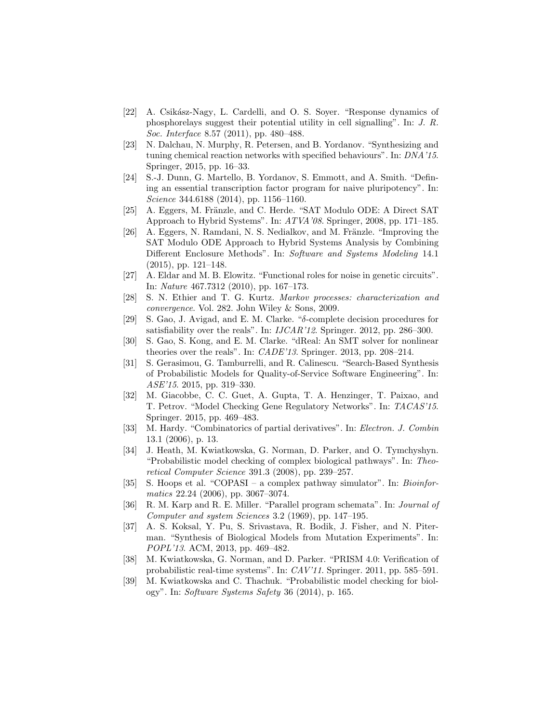- [22] A. Csikász-Nagy, L. Cardelli, and O. S. Soyer. "Response dynamics of phosphorelays suggest their potential utility in cell signalling". In: *J. R. Soc. Interface* 8.57 (2011), pp. 480–488.
- [23] N. Dalchau, N. Murphy, R. Petersen, and B. Yordanov. "Synthesizing and tuning chemical reaction networks with specified behaviours". In: *DNA'15*. Springer, 2015, pp. 16–33.
- [24] S.-J. Dunn, G. Martello, B. Yordanov, S. Emmott, and A. Smith. "Defining an essential transcription factor program for naive pluripotency". In: *Science* 344.6188 (2014), pp. 1156–1160.
- [25] A. Eggers, M. Fränzle, and C. Herde. "SAT Modulo ODE: A Direct SAT Approach to Hybrid Systems". In: *ATVA'08*. Springer, 2008, pp. 171–185.
- [26] A. Eggers, N. Ramdani, N. S. Nedialkov, and M. Fränzle. "Improving the SAT Modulo ODE Approach to Hybrid Systems Analysis by Combining Different Enclosure Methods". In: *Software and Systems Modeling* 14.1 (2015), pp. 121–148.
- [27] A. Eldar and M. B. Elowitz. "Functional roles for noise in genetic circuits". In: *Nature* 467.7312 (2010), pp. 167–173.
- [28] S. N. Ethier and T. G. Kurtz. *Markov processes: characterization and convergence*. Vol. 282. John Wiley & Sons, 2009.
- [29] S. Gao, J. Avigad, and E. M. Clarke. " $\delta$ -complete decision procedures for satisfiability over the reals". In: *IJCAR'12*. Springer. 2012, pp. 286–300.
- [30] S. Gao, S. Kong, and E. M. Clarke. "dReal: An SMT solver for nonlinear theories over the reals". In: *CADE'13*. Springer. 2013, pp. 208–214.
- [31] S. Gerasimou, G. Tamburrelli, and R. Calinescu. "Search-Based Synthesis of Probabilistic Models for Quality-of-Service Software Engineering". In: *ASE'15*. 2015, pp. 319–330.
- [32] M. Giacobbe, C. C. Guet, A. Gupta, T. A. Henzinger, T. Paixao, and T. Petrov. "Model Checking Gene Regulatory Networks". In: *TACAS'15*. Springer. 2015, pp. 469–483.
- [33] M. Hardy. "Combinatorics of partial derivatives". In: *Electron. J. Combin* 13.1 (2006), p. 13.
- [34] J. Heath, M. Kwiatkowska, G. Norman, D. Parker, and O. Tymchyshyn. "Probabilistic model checking of complex biological pathways". In: *Theoretical Computer Science* 391.3 (2008), pp. 239–257.
- [35] S. Hoops et al. "COPASI a complex pathway simulator". In: *Bioinformatics* 22.24 (2006), pp. 3067–3074.
- [36] R. M. Karp and R. E. Miller. "Parallel program schemata". In: *Journal of Computer and system Sciences* 3.2 (1969), pp. 147–195.
- [37] A. S. Koksal, Y. Pu, S. Srivastava, R. Bodik, J. Fisher, and N. Piterman. "Synthesis of Biological Models from Mutation Experiments". In: *POPL'13*. ACM, 2013, pp. 469–482.
- [38] M. Kwiatkowska, G. Norman, and D. Parker. "PRISM 4.0: Verification of probabilistic real-time systems". In: *CAV'11*. Springer. 2011, pp. 585–591.
- [39] M. Kwiatkowska and C. Thachuk. "Probabilistic model checking for biology". In: *Software Systems Safety* 36 (2014), p. 165.